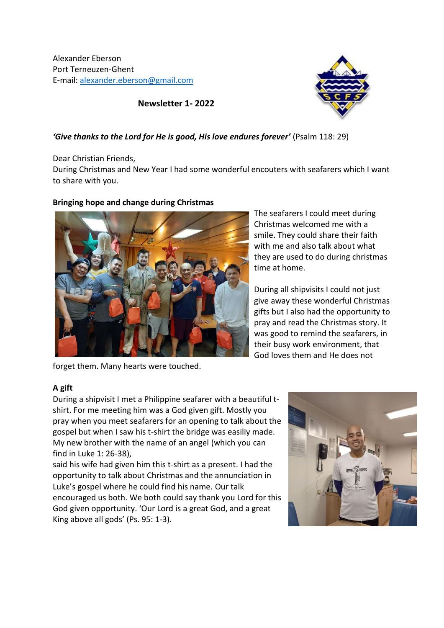Alexander Eberson Port Terneuzen-Ghent E-mail: [alexander.eberson@gmail.com](mailto:alexander.eberson@gmail.com)



**Newsletter 1- 2022**

## *'Give thanks to the Lord for He is good, His love endures forever'* (Psalm 118: 29)

Dear Christian Friends,

During Christmas and New Year I had some wonderful encouters with seafarers which I want to share with you.

# **Bringing hope and change during Christmas**



The seafarers I could meet during Christmas welcomed me with a smile. They could share their faith with me and also talk about what they are used to do during christmas time at home.

During all shipvisits I could not just give away these wonderful Christmas gifts but I also had the opportunity to pray and read the Christmas story. It was good to remind the seafarers, in their busy work environment, that God loves them and He does not

forget them. Many hearts were touched.

# **A gift**

During a shipvisit I met a Philippine seafarer with a beautiful tshirt. For me meeting him was a God given gift. Mostly you pray when you meet seafarers for an opening to talk about the gospel but when I saw his t-shirt the bridge was easiliy made. My new brother with the name of an angel (which you can find in Luke 1: 26-38),

said his wife had given him this t-shirt as a present. I had the opportunity to talk about Christmas and the annunciation in Luke's gospel where he could find his name. Our talk encouraged us both. We both could say thank you Lord for this God given opportunity. 'Our Lord is a great God, and a great King above all gods' (Ps. 95: 1-3).